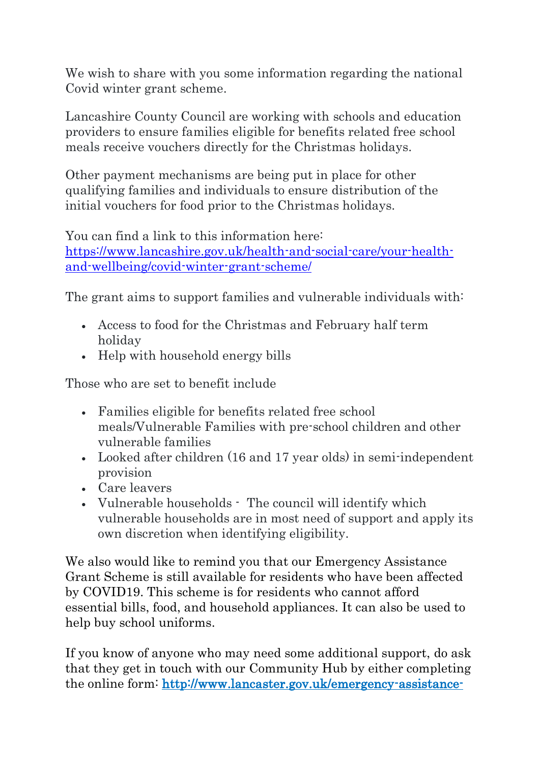We wish to share with you some information regarding the national Covid winter grant scheme.

Lancashire County Council are working with schools and education providers to ensure families eligible for benefits related free school meals receive vouchers directly for the Christmas holidays.

Other payment mechanisms are being put in place for other qualifying families and individuals to ensure distribution of the initial vouchers for food prior to the Christmas holidays.

You can find a link to this information here: [https://www.lancashire.gov.uk/health-and-social-care/your-health](https://www.lancashire.gov.uk/health-and-social-care/your-health-and-wellbeing/covid-winter-grant-scheme/)[and-wellbeing/covid-winter-grant-scheme/](https://www.lancashire.gov.uk/health-and-social-care/your-health-and-wellbeing/covid-winter-grant-scheme/)

The grant aims to support families and vulnerable individuals with:

- Access to food for the Christmas and February half term holiday
- Help with household energy bills

Those who are set to benefit include

- Families eligible for benefits related free school meals/Vulnerable Families with pre-school children and other vulnerable families
- Looked after children (16 and 17 year olds) in semi-independent provision
- Care leavers
- Vulnerable households The council will identify which vulnerable households are in most need of support and apply its own discretion when identifying eligibility.

We also would like to remind you that our Emergency Assistance Grant Scheme is still available for residents who have been affected by COVID19. This scheme is for residents who cannot afford essential bills, food, and household appliances. It can also be used to help buy school uniforms.

If you know of anyone who may need some additional support, do ask that they get in touch with our Community Hub by either completing the online form: [http://www.lancaster.gov.uk/emergency-assistance-](http://www.lancaster.gov.uk/emergency-assistance-grant)